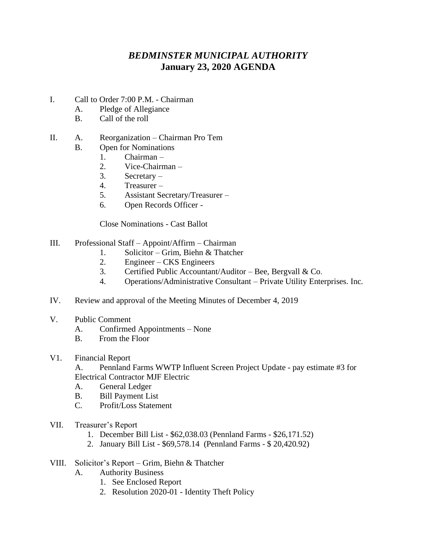## *BEDMINSTER MUNICIPAL AUTHORITY* **January 23, 2020 AGENDA**

- I. Call to Order 7:00 P.M. Chairman
	- A. Pledge of Allegiance
	- B. Call of the roll

## II. A. Reorganization – Chairman Pro Tem

- B. Open for Nominations
	- 1. Chairman –
	- 2. Vice-Chairman –
	- 3. Secretary –
	- 4. Treasurer –
	- 5. Assistant Secretary/Treasurer –
	- 6. Open Records Officer -

Close Nominations - Cast Ballot

- III. Professional Staff Appoint/Affirm Chairman
	- 1. Solicitor Grim, Biehn & Thatcher
	- 2. Engineer CKS Engineers
	- 3. Certified Public Accountant/Auditor Bee, Bergvall & Co.
	- 4. Operations/Administrative Consultant Private Utility Enterprises. Inc.
- IV. Review and approval of the Meeting Minutes of December 4, 2019
- V. Public Comment
	- A. Confirmed Appointments None
	- B. From the Floor
- V1. Financial Report

 A. Pennland Farms WWTP Influent Screen Project Update - pay estimate #3 for Electrical Contractor MJF Electric

- A. General Ledger
- B. Bill Payment List
- C. Profit/Loss Statement
- VII. Treasurer's Report
	- 1. December Bill List \$62,038.03 (Pennland Farms \$26,171.52)
	- 2. January Bill List \$69,578.14 (Pennland Farms \$ 20,420.92)
- VIII. Solicitor's Report Grim, Biehn & Thatcher
	- A. Authority Business
		- 1. See Enclosed Report
		- 2. Resolution 2020-01 Identity Theft Policy